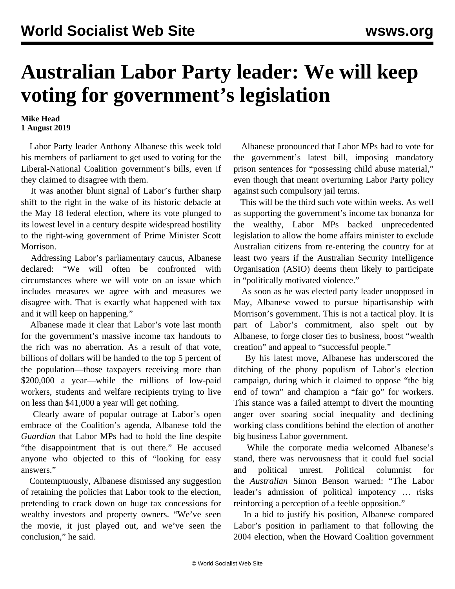## **Australian Labor Party leader: We will keep voting for government's legislation**

## **Mike Head 1 August 2019**

 Labor Party leader Anthony Albanese this week told his members of parliament to get used to voting for the Liberal-National Coalition government's bills, even if they claimed to disagree with them.

 It was another blunt signal of Labor's further sharp shift to the right in the wake of its historic debacle at the May 18 federal election, where its vote plunged to its lowest level in a century despite widespread hostility to the right-wing government of Prime Minister Scott Morrison.

 Addressing Labor's parliamentary caucus, Albanese declared: "We will often be confronted with circumstances where we will vote on an issue which includes measures we agree with and measures we disagree with. That is exactly what happened with tax and it will keep on happening."

 Albanese made it clear that Labor's vote last month for the government's massive income tax handouts to the rich was no aberration. As a result of that vote, billions of dollars will be handed to the top 5 percent of the population—those taxpayers receiving more than \$200,000 a year—while the millions of low-paid workers, students and welfare recipients trying to live on less than \$41,000 a year will get [nothing.](/en/articles/2019/07/06/taxe-j06.html)

 Clearly aware of popular outrage at Labor's open embrace of the Coalition's agenda, Albanese told the *Guardian* that Labor MPs had to hold the line despite "the disappointment that is out there." He accused anyone who objected to this of "looking for easy answers."

 Contemptuously, Albanese dismissed any suggestion of retaining the policies that Labor took to the election, pretending to crack down on huge tax concessions for wealthy investors and property owners. "We've seen the movie, it just played out, and we've seen the conclusion," he said.

 Albanese pronounced that Labor MPs had to vote for the government's latest bill, imposing mandatory prison sentences for "possessing child abuse material," even though that meant overturning Labor Party policy against such compulsory jail terms.

 This will be the third such vote within weeks. As well as supporting the government's income tax bonanza for the wealthy, Labor MPs backed unprecedented legislation to allow the home affairs minister to exclude Australian citizens from re-entering the country for at least two years if the Australian Security Intelligence Organisation (ASIO) deems them likely to participate in ["politically motivated violence](/en/articles/2019/07/24/poli-j24.html)."

 As soon as he was elected party leader unopposed in May, Albanese vowed to pursue bipartisanship with Morrison's government. This is not a tactical ploy. It is part of Labor's commitment, also spelt out by Albanese, to forge closer ties to business, boost "wealth creation" and appeal to "successful people."

 By his latest move, Albanese has underscored the ditching of the phony populism of Labor's election campaign, during which it claimed to oppose "the big end of town" and champion a "fair go" for workers. This stance was a failed attempt to divert the mounting anger over soaring social inequality and declining working class conditions behind the election of another big business Labor government.

 While the corporate media welcomed Albanese's stand, there was nervousness that it could fuel social and political unrest. Political columnist for the *Australian* Simon Benson warned: "The Labor leader's admission of political impotency … risks reinforcing a perception of a feeble opposition."

 In a bid to justify his position, Albanese compared Labor's position in parliament to that following the 2004 election, when the Howard Coalition government